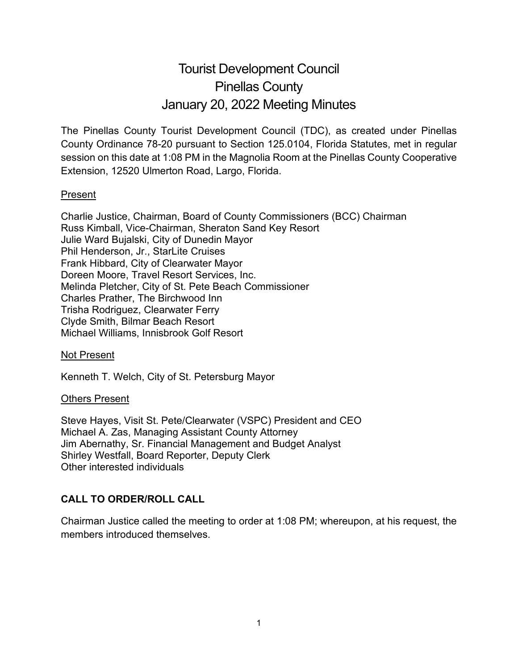# Tourist Development Council Pinellas County January 20, 2022 Meeting Minutes

The Pinellas County Tourist Development Council (TDC), as created under Pinellas County Ordinance 78-20 pursuant to Section 125.0104, Florida Statutes, met in regular session on this date at 1:08 PM in the Magnolia Room at the Pinellas County Cooperative Extension, 12520 Ulmerton Road, Largo, Florida.

## Present

Charlie Justice, Chairman, Board of County Commissioners (BCC) Chairman Russ Kimball, Vice-Chairman, Sheraton Sand Key Resort Julie Ward Bujalski, City of Dunedin Mayor Phil Henderson, Jr., StarLite Cruises Frank Hibbard, City of Clearwater Mayor Doreen Moore, Travel Resort Services, Inc. Melinda Pletcher, City of St. Pete Beach Commissioner Charles Prather, The Birchwood Inn Trisha Rodriguez, Clearwater Ferry Clyde Smith, Bilmar Beach Resort Michael Williams, Innisbrook Golf Resort

#### Not Present

Kenneth T. Welch, City of St. Petersburg Mayor

#### Others Present

Steve Hayes, Visit St. Pete/Clearwater (VSPC) President and CEO Michael A. Zas, Managing Assistant County Attorney Jim Abernathy, Sr. Financial Management and Budget Analyst Shirley Westfall, Board Reporter, Deputy Clerk Other interested individuals

## **CALL TO ORDER/ROLL CALL**

Chairman Justice called the meeting to order at 1:08 PM; whereupon, at his request, the members introduced themselves.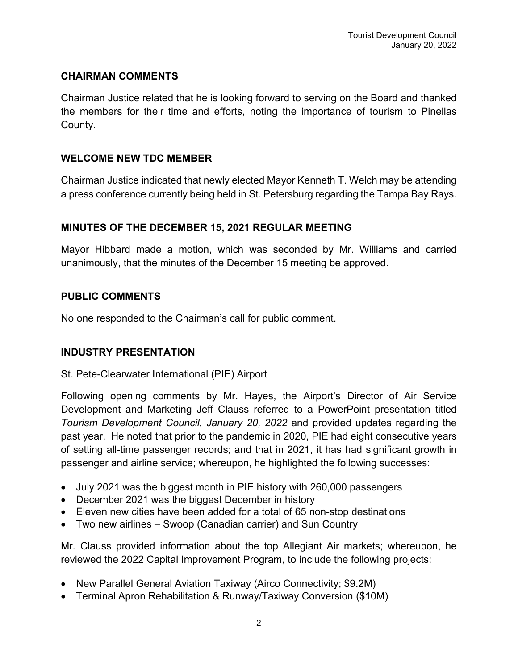## **CHAIRMAN COMMENTS**

Chairman Justice related that he is looking forward to serving on the Board and thanked the members for their time and efforts, noting the importance of tourism to Pinellas County.

## **WELCOME NEW TDC MEMBER**

Chairman Justice indicated that newly elected Mayor Kenneth T. Welch may be attending a press conference currently being held in St. Petersburg regarding the Tampa Bay Rays.

## **MINUTES OF THE DECEMBER 15, 2021 REGULAR MEETING**

Mayor Hibbard made a motion, which was seconded by Mr. Williams and carried unanimously, that the minutes of the December 15 meeting be approved.

## **PUBLIC COMMENTS**

No one responded to the Chairman's call for public comment.

## **INDUSTRY PRESENTATION**

#### St. Pete-Clearwater International (PIE) Airport

Following opening comments by Mr. Hayes, the Airport's Director of Air Service Development and Marketing Jeff Clauss referred to a PowerPoint presentation titled *Tourism Development Council, January 20, 2022* and provided updates regarding the past year. He noted that prior to the pandemic in 2020, PIE had eight consecutive years of setting all-time passenger records; and that in 2021, it has had significant growth in passenger and airline service; whereupon, he highlighted the following successes:

- July 2021 was the biggest month in PIE history with 260,000 passengers
- December 2021 was the biggest December in history
- Eleven new cities have been added for a total of 65 non-stop destinations
- Two new airlines Swoop (Canadian carrier) and Sun Country

Mr. Clauss provided information about the top Allegiant Air markets; whereupon, he reviewed the 2022 Capital Improvement Program, to include the following projects:

- New Parallel General Aviation Taxiway (Airco Connectivity; \$9.2M)
- Terminal Apron Rehabilitation & Runway/Taxiway Conversion (\$10M)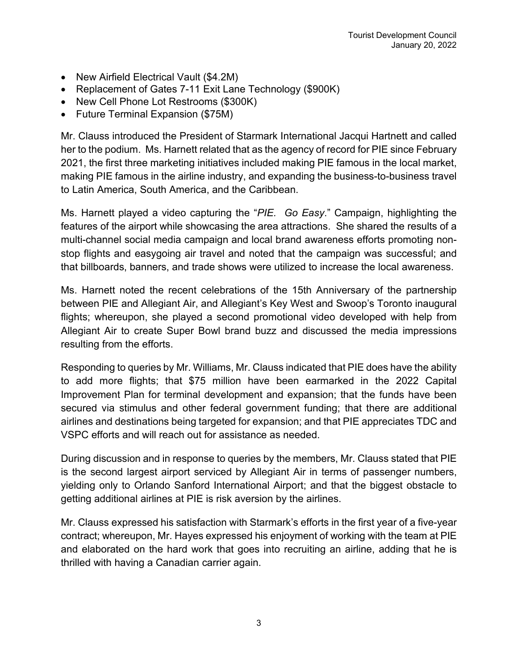- New Airfield Electrical Vault (\$4.2M)
- Replacement of Gates 7-11 Exit Lane Technology (\$900K)
- New Cell Phone Lot Restrooms (\$300K)
- Future Terminal Expansion (\$75M)

Mr. Clauss introduced the President of Starmark International Jacqui Hartnett and called her to the podium. Ms. Harnett related that as the agency of record for PIE since February 2021, the first three marketing initiatives included making PIE famous in the local market, making PIE famous in the airline industry, and expanding the business-to-business travel to Latin America, South America, and the Caribbean.

Ms. Harnett played a video capturing the "*PIE. Go Easy*." Campaign, highlighting the features of the airport while showcasing the area attractions. She shared the results of a multi-channel social media campaign and local brand awareness efforts promoting nonstop flights and easygoing air travel and noted that the campaign was successful; and that billboards, banners, and trade shows were utilized to increase the local awareness.

Ms. Harnett noted the recent celebrations of the 15th Anniversary of the partnership between PIE and Allegiant Air, and Allegiant's Key West and Swoop's Toronto inaugural flights; whereupon, she played a second promotional video developed with help from Allegiant Air to create Super Bowl brand buzz and discussed the media impressions resulting from the efforts.

Responding to queries by Mr. Williams, Mr. Clauss indicated that PIE does have the ability to add more flights; that \$75 million have been earmarked in the 2022 Capital Improvement Plan for terminal development and expansion; that the funds have been secured via stimulus and other federal government funding; that there are additional airlines and destinations being targeted for expansion; and that PIE appreciates TDC and VSPC efforts and will reach out for assistance as needed.

During discussion and in response to queries by the members, Mr. Clauss stated that PIE is the second largest airport serviced by Allegiant Air in terms of passenger numbers, yielding only to Orlando Sanford International Airport; and that the biggest obstacle to getting additional airlines at PIE is risk aversion by the airlines.

Mr. Clauss expressed his satisfaction with Starmark's efforts in the first year of a five-year contract; whereupon, Mr. Hayes expressed his enjoyment of working with the team at PIE and elaborated on the hard work that goes into recruiting an airline, adding that he is thrilled with having a Canadian carrier again.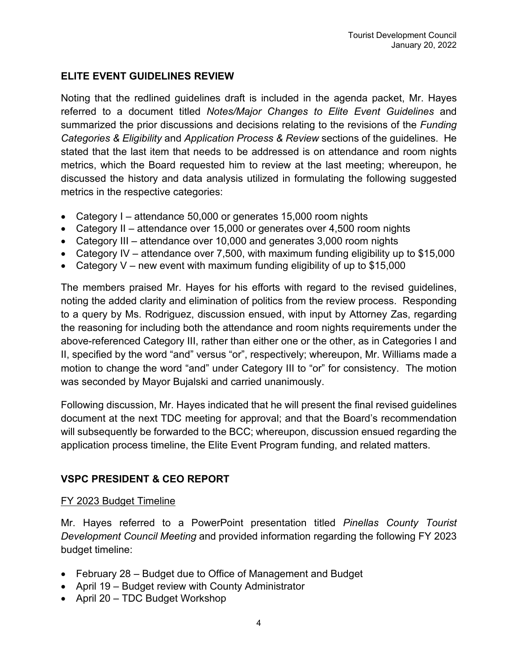## **ELITE EVENT GUIDELINES REVIEW**

Noting that the redlined guidelines draft is included in the agenda packet, Mr. Hayes referred to a document titled *Notes/Major Changes to Elite Event Guidelines* and summarized the prior discussions and decisions relating to the revisions of the *Funding Categories & Eligibility* and *Application Process & Review* sections of the guidelines. He stated that the last item that needs to be addressed is on attendance and room nights metrics, which the Board requested him to review at the last meeting; whereupon, he discussed the history and data analysis utilized in formulating the following suggested metrics in the respective categories:

- Category I attendance 50,000 or generates 15,000 room nights
- Category II attendance over 15,000 or generates over 4,500 room nights
- Category III attendance over 10,000 and generates 3,000 room nights
- Category IV attendance over 7,500, with maximum funding eligibility up to \$15,000
- Category V new event with maximum funding eligibility of up to  $$15,000$

The members praised Mr. Hayes for his efforts with regard to the revised guidelines, noting the added clarity and elimination of politics from the review process. Responding to a query by Ms. Rodriguez, discussion ensued, with input by Attorney Zas, regarding the reasoning for including both the attendance and room nights requirements under the above-referenced Category III, rather than either one or the other, as in Categories I and II, specified by the word "and" versus "or", respectively; whereupon, Mr. Williams made a motion to change the word "and" under Category III to "or" for consistency. The motion was seconded by Mayor Bujalski and carried unanimously.

Following discussion, Mr. Hayes indicated that he will present the final revised guidelines document at the next TDC meeting for approval; and that the Board's recommendation will subsequently be forwarded to the BCC; whereupon, discussion ensued regarding the application process timeline, the Elite Event Program funding, and related matters.

## **VSPC PRESIDENT & CEO REPORT**

## FY 2023 Budget Timeline

Mr. Hayes referred to a PowerPoint presentation titled *Pinellas County Tourist Development Council Meeting* and provided information regarding the following FY 2023 budget timeline:

- February 28 Budget due to Office of Management and Budget
- April 19 Budget review with County Administrator
- April 20 TDC Budget Workshop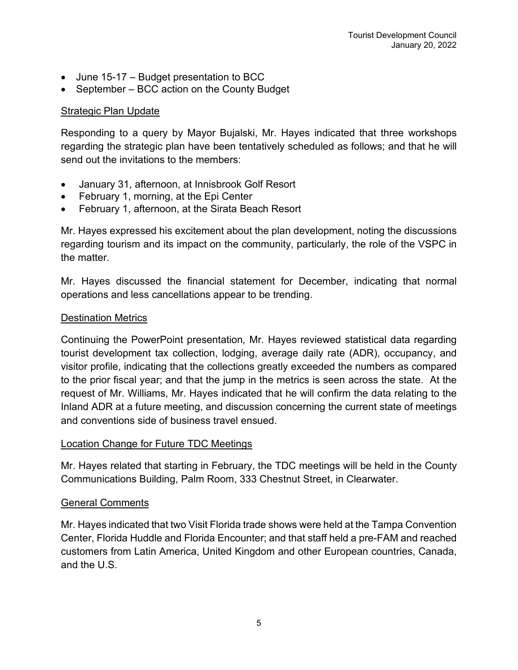- June 15-17 Budget presentation to BCC
- September BCC action on the County Budget

#### **Strategic Plan Update**

Responding to a query by Mayor Bujalski, Mr. Hayes indicated that three workshops regarding the strategic plan have been tentatively scheduled as follows; and that he will send out the invitations to the members:

- January 31, afternoon, at Innisbrook Golf Resort
- February 1, morning, at the Epi Center
- February 1, afternoon, at the Sirata Beach Resort

Mr. Hayes expressed his excitement about the plan development, noting the discussions regarding tourism and its impact on the community, particularly, the role of the VSPC in the matter.

Mr. Hayes discussed the financial statement for December, indicating that normal operations and less cancellations appear to be trending.

## Destination Metrics

Continuing the PowerPoint presentation*,* Mr. Hayes reviewed statistical data regarding tourist development tax collection, lodging, average daily rate (ADR), occupancy, and visitor profile, indicating that the collections greatly exceeded the numbers as compared to the prior fiscal year; and that the jump in the metrics is seen across the state. At the request of Mr. Williams, Mr. Hayes indicated that he will confirm the data relating to the Inland ADR at a future meeting, and discussion concerning the current state of meetings and conventions side of business travel ensued.

## Location Change for Future TDC Meetings

Mr. Hayes related that starting in February, the TDC meetings will be held in the County Communications Building, Palm Room, 333 Chestnut Street, in Clearwater.

#### General Comments

Mr. Hayes indicated that two Visit Florida trade shows were held at the Tampa Convention Center, Florida Huddle and Florida Encounter; and that staff held a pre-FAM and reached customers from Latin America, United Kingdom and other European countries, Canada, and the U.S.